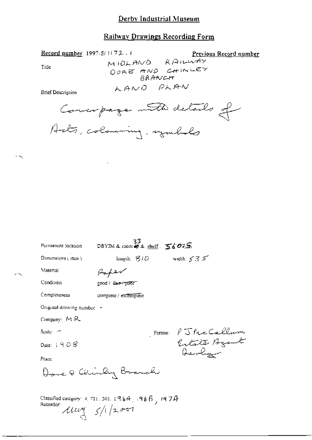## **Railway Drawings Recording Form**

Record number 1997-5/1172.1

Previous Record number

Title

 $\sim$ 

ж,

MIDLAND RAILWAY DORE AND CHINLEY LAND PLAN

**Brief Description** 



Ŷ.

| Региганста (осацой                                                                                         | $\frac{33}{260\%}$ SS DBYIM & room # & shelf $560\%$ |                     |
|------------------------------------------------------------------------------------------------------------|------------------------------------------------------|---------------------|
| Dimensions (mm)                                                                                            | length, $\mathcal G/D$                               | width: $535$        |
| Material                                                                                                   |                                                      |                     |
| Condition                                                                                                  | <u>good / £aie-⁄προση</u>                            |                     |
| Completeness                                                                                               | complete / rucomplete                                |                     |
| Original drawing number -                                                                                  |                                                      |                     |
| Company: MR                                                                                                |                                                      |                     |
| Scale: -                                                                                                   |                                                      | Person: PJ McCallum |
| Date: $+908$                                                                                               |                                                      | Berby               |
| Place:                                                                                                     |                                                      |                     |
| Home & Chinley Branch                                                                                      |                                                      |                     |
| Classified category: 4, 721, 501, 1968, 596 $6\%$ , 197 $4$<br>Recorder:<br>$\mu$ ug $\frac{1}{2}$ /1/2007 |                                                      |                     |